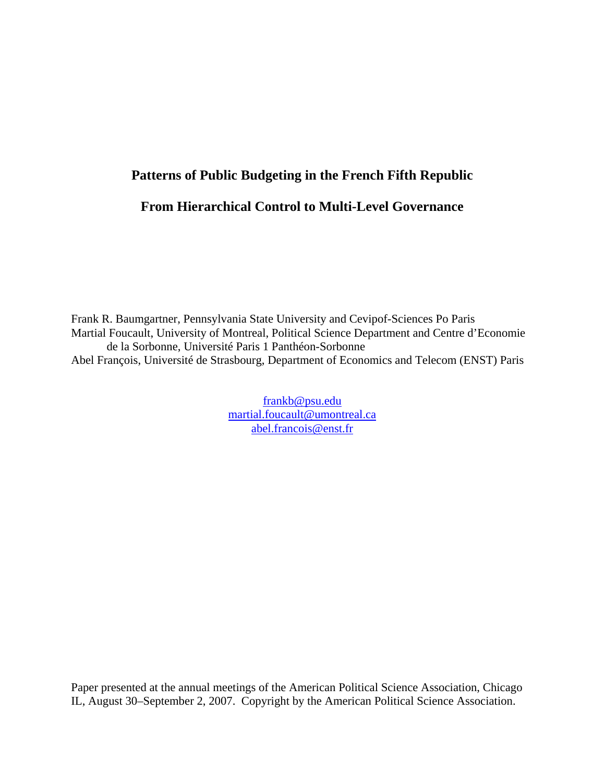## **Patterns of Public Budgeting in the French Fifth Republic**

# **From Hierarchical Control to Multi-Level Governance**

Frank R. Baumgartner, Pennsylvania State University and Cevipof-Sciences Po Paris Martial Foucault, University of Montreal, Political Science Department and Centre d'Economie de la Sorbonne, Université Paris 1 Panthéon-Sorbonne Abel François, Université de Strasbourg, Department of Economics and Telecom (ENST) Paris

> frankb@psu.edu martial.foucault@umontreal.ca abel.francois@enst.fr

Paper presented at the annual meetings of the American Political Science Association, Chicago IL, August 30–September 2, 2007. Copyright by the American Political Science Association.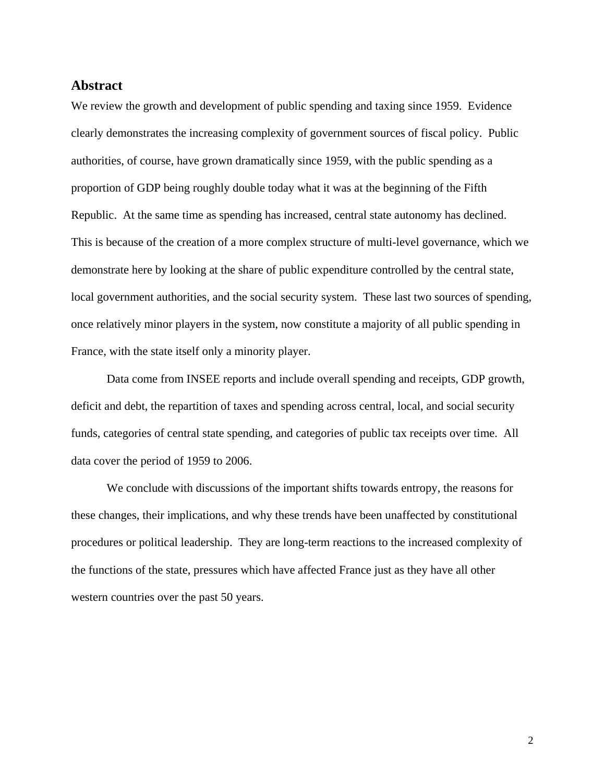## **Abstract**

We review the growth and development of public spending and taxing since 1959. Evidence clearly demonstrates the increasing complexity of government sources of fiscal policy. Public authorities, of course, have grown dramatically since 1959, with the public spending as a proportion of GDP being roughly double today what it was at the beginning of the Fifth Republic. At the same time as spending has increased, central state autonomy has declined. This is because of the creation of a more complex structure of multi-level governance, which we demonstrate here by looking at the share of public expenditure controlled by the central state, local government authorities, and the social security system. These last two sources of spending, once relatively minor players in the system, now constitute a majority of all public spending in France, with the state itself only a minority player.

Data come from INSEE reports and include overall spending and receipts, GDP growth, deficit and debt, the repartition of taxes and spending across central, local, and social security funds, categories of central state spending, and categories of public tax receipts over time. All data cover the period of 1959 to 2006.

We conclude with discussions of the important shifts towards entropy, the reasons for these changes, their implications, and why these trends have been unaffected by constitutional procedures or political leadership. They are long-term reactions to the increased complexity of the functions of the state, pressures which have affected France just as they have all other western countries over the past 50 years.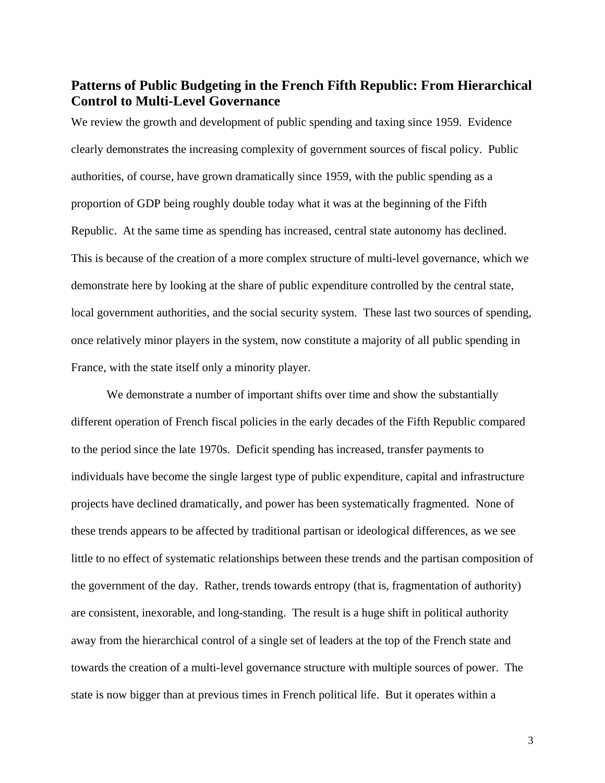# **Patterns of Public Budgeting in the French Fifth Republic: From Hierarchical Control to Multi-Level Governance**

We review the growth and development of public spending and taxing since 1959. Evidence clearly demonstrates the increasing complexity of government sources of fiscal policy. Public authorities, of course, have grown dramatically since 1959, with the public spending as a proportion of GDP being roughly double today what it was at the beginning of the Fifth Republic. At the same time as spending has increased, central state autonomy has declined. This is because of the creation of a more complex structure of multi-level governance, which we demonstrate here by looking at the share of public expenditure controlled by the central state, local government authorities, and the social security system. These last two sources of spending, once relatively minor players in the system, now constitute a majority of all public spending in France, with the state itself only a minority player.

We demonstrate a number of important shifts over time and show the substantially different operation of French fiscal policies in the early decades of the Fifth Republic compared to the period since the late 1970s. Deficit spending has increased, transfer payments to individuals have become the single largest type of public expenditure, capital and infrastructure projects have declined dramatically, and power has been systematically fragmented. None of these trends appears to be affected by traditional partisan or ideological differences, as we see little to no effect of systematic relationships between these trends and the partisan composition of the government of the day. Rather, trends towards entropy (that is, fragmentation of authority) are consistent, inexorable, and long-standing. The result is a huge shift in political authority away from the hierarchical control of a single set of leaders at the top of the French state and towards the creation of a multi-level governance structure with multiple sources of power. The state is now bigger than at previous times in French political life. But it operates within a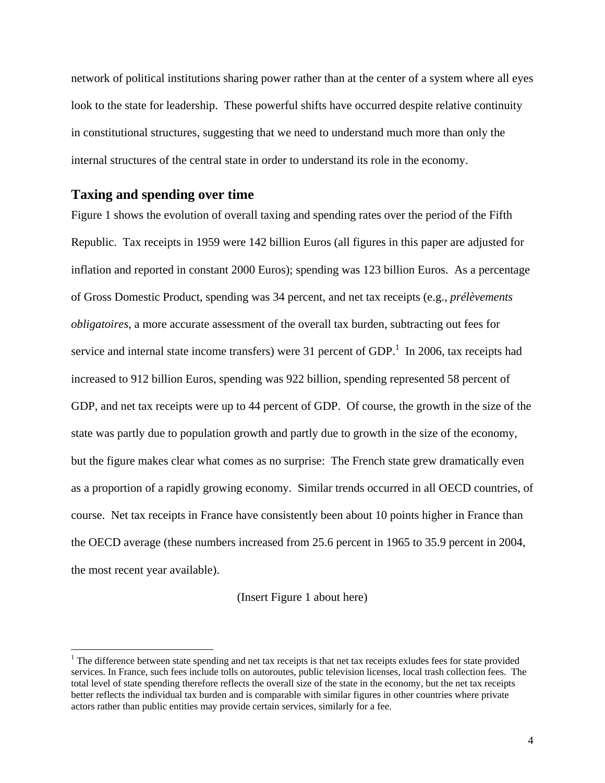network of political institutions sharing power rather than at the center of a system where all eyes look to the state for leadership. These powerful shifts have occurred despite relative continuity in constitutional structures, suggesting that we need to understand much more than only the internal structures of the central state in order to understand its role in the economy.

### **Taxing and spending over time**

 $\overline{a}$ 

Figure 1 shows the evolution of overall taxing and spending rates over the period of the Fifth Republic. Tax receipts in 1959 were 142 billion Euros (all figures in this paper are adjusted for inflation and reported in constant 2000 Euros); spending was 123 billion Euros. As a percentage of Gross Domestic Product, spending was 34 percent, and net tax receipts (e.g., *prélèvements obligatoires*, a more accurate assessment of the overall tax burden, subtracting out fees for service and internal state income transfers) were 31 percent of GDP.<sup>1</sup> In 2006, tax receipts had increased to 912 billion Euros, spending was 922 billion, spending represented 58 percent of GDP, and net tax receipts were up to 44 percent of GDP. Of course, the growth in the size of the state was partly due to population growth and partly due to growth in the size of the economy, but the figure makes clear what comes as no surprise: The French state grew dramatically even as a proportion of a rapidly growing economy. Similar trends occurred in all OECD countries, of course. Net tax receipts in France have consistently been about 10 points higher in France than the OECD average (these numbers increased from 25.6 percent in 1965 to 35.9 percent in 2004, the most recent year available).

#### (Insert Figure 1 about here)

 $1$  The difference between state spending and net tax receipts is that net tax receipts exludes fees for state provided services. In France, such fees include tolls on autoroutes, public television licenses, local trash collection fees. The total level of state spending therefore reflects the overall size of the state in the economy, but the net tax receipts better reflects the individual tax burden and is comparable with similar figures in other countries where private actors rather than public entities may provide certain services, similarly for a fee.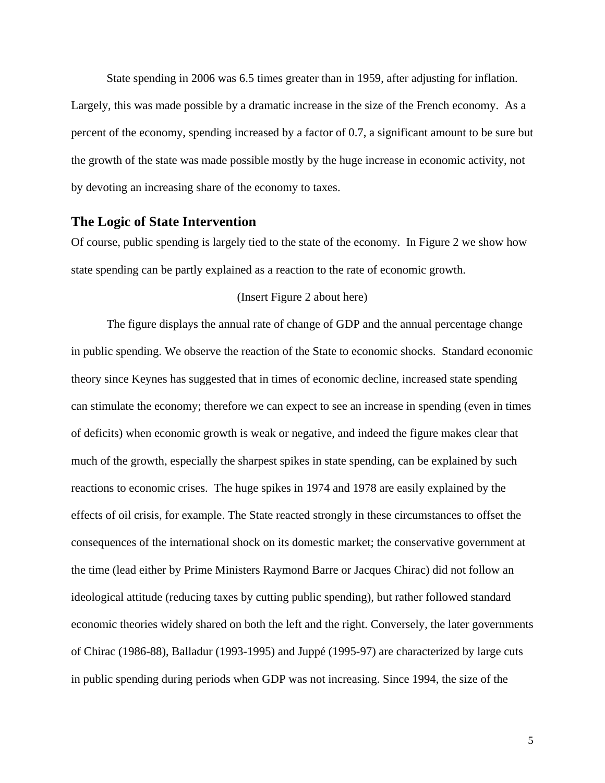State spending in 2006 was 6.5 times greater than in 1959, after adjusting for inflation. Largely, this was made possible by a dramatic increase in the size of the French economy. As a percent of the economy, spending increased by a factor of 0.7, a significant amount to be sure but the growth of the state was made possible mostly by the huge increase in economic activity, not by devoting an increasing share of the economy to taxes.

### **The Logic of State Intervention**

Of course, public spending is largely tied to the state of the economy. In Figure 2 we show how state spending can be partly explained as a reaction to the rate of economic growth.

#### (Insert Figure 2 about here)

The figure displays the annual rate of change of GDP and the annual percentage change in public spending. We observe the reaction of the State to economic shocks. Standard economic theory since Keynes has suggested that in times of economic decline, increased state spending can stimulate the economy; therefore we can expect to see an increase in spending (even in times of deficits) when economic growth is weak or negative, and indeed the figure makes clear that much of the growth, especially the sharpest spikes in state spending, can be explained by such reactions to economic crises. The huge spikes in 1974 and 1978 are easily explained by the effects of oil crisis, for example. The State reacted strongly in these circumstances to offset the consequences of the international shock on its domestic market; the conservative government at the time (lead either by Prime Ministers Raymond Barre or Jacques Chirac) did not follow an ideological attitude (reducing taxes by cutting public spending), but rather followed standard economic theories widely shared on both the left and the right. Conversely, the later governments of Chirac (1986-88), Balladur (1993-1995) and Juppé (1995-97) are characterized by large cuts in public spending during periods when GDP was not increasing. Since 1994, the size of the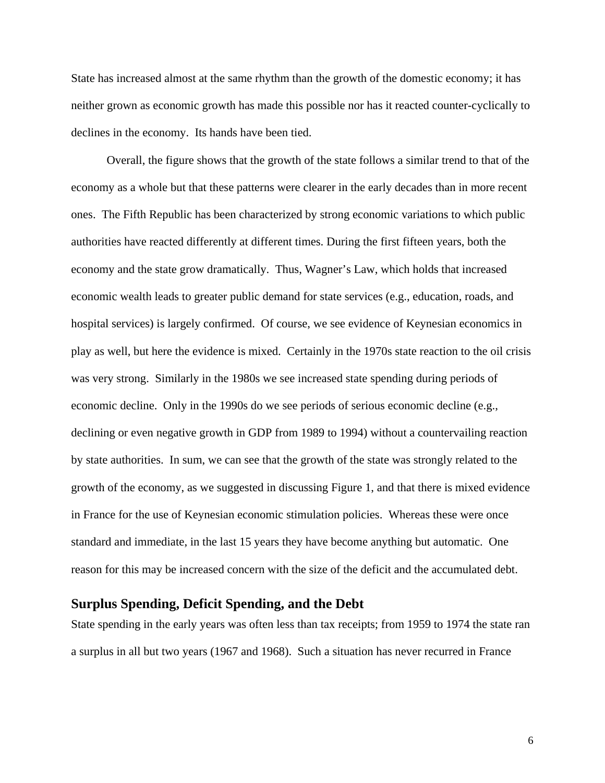State has increased almost at the same rhythm than the growth of the domestic economy; it has neither grown as economic growth has made this possible nor has it reacted counter-cyclically to declines in the economy. Its hands have been tied.

Overall, the figure shows that the growth of the state follows a similar trend to that of the economy as a whole but that these patterns were clearer in the early decades than in more recent ones. The Fifth Republic has been characterized by strong economic variations to which public authorities have reacted differently at different times. During the first fifteen years, both the economy and the state grow dramatically. Thus, Wagner's Law, which holds that increased economic wealth leads to greater public demand for state services (e.g., education, roads, and hospital services) is largely confirmed. Of course, we see evidence of Keynesian economics in play as well, but here the evidence is mixed. Certainly in the 1970s state reaction to the oil crisis was very strong. Similarly in the 1980s we see increased state spending during periods of economic decline. Only in the 1990s do we see periods of serious economic decline (e.g., declining or even negative growth in GDP from 1989 to 1994) without a countervailing reaction by state authorities. In sum, we can see that the growth of the state was strongly related to the growth of the economy, as we suggested in discussing Figure 1, and that there is mixed evidence in France for the use of Keynesian economic stimulation policies. Whereas these were once standard and immediate, in the last 15 years they have become anything but automatic. One reason for this may be increased concern with the size of the deficit and the accumulated debt.

### **Surplus Spending, Deficit Spending, and the Debt**

State spending in the early years was often less than tax receipts; from 1959 to 1974 the state ran a surplus in all but two years (1967 and 1968). Such a situation has never recurred in France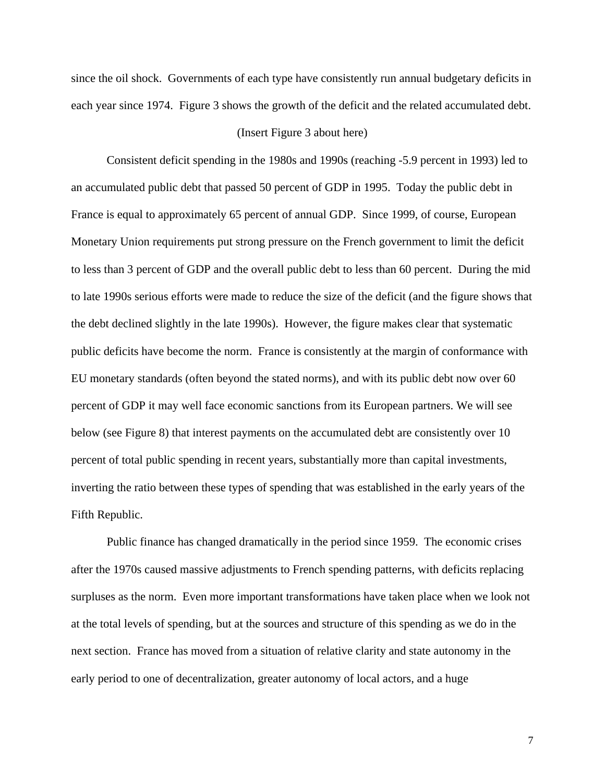since the oil shock. Governments of each type have consistently run annual budgetary deficits in each year since 1974. Figure 3 shows the growth of the deficit and the related accumulated debt.

#### (Insert Figure 3 about here)

Consistent deficit spending in the 1980s and 1990s (reaching -5.9 percent in 1993) led to an accumulated public debt that passed 50 percent of GDP in 1995. Today the public debt in France is equal to approximately 65 percent of annual GDP. Since 1999, of course, European Monetary Union requirements put strong pressure on the French government to limit the deficit to less than 3 percent of GDP and the overall public debt to less than 60 percent. During the mid to late 1990s serious efforts were made to reduce the size of the deficit (and the figure shows that the debt declined slightly in the late 1990s). However, the figure makes clear that systematic public deficits have become the norm. France is consistently at the margin of conformance with EU monetary standards (often beyond the stated norms), and with its public debt now over 60 percent of GDP it may well face economic sanctions from its European partners. We will see below (see Figure 8) that interest payments on the accumulated debt are consistently over 10 percent of total public spending in recent years, substantially more than capital investments, inverting the ratio between these types of spending that was established in the early years of the Fifth Republic.

Public finance has changed dramatically in the period since 1959. The economic crises after the 1970s caused massive adjustments to French spending patterns, with deficits replacing surpluses as the norm. Even more important transformations have taken place when we look not at the total levels of spending, but at the sources and structure of this spending as we do in the next section. France has moved from a situation of relative clarity and state autonomy in the early period to one of decentralization, greater autonomy of local actors, and a huge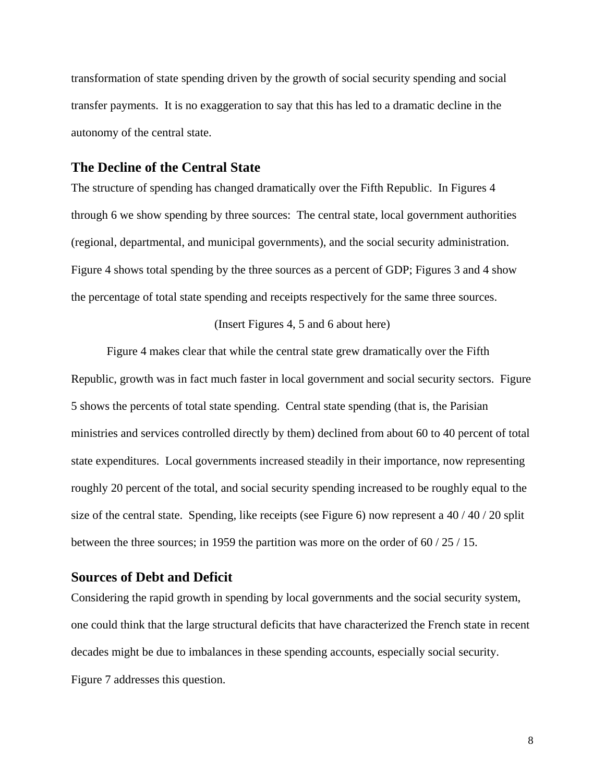transformation of state spending driven by the growth of social security spending and social transfer payments. It is no exaggeration to say that this has led to a dramatic decline in the autonomy of the central state.

### **The Decline of the Central State**

The structure of spending has changed dramatically over the Fifth Republic. In Figures 4 through 6 we show spending by three sources: The central state, local government authorities (regional, departmental, and municipal governments), and the social security administration. Figure 4 shows total spending by the three sources as a percent of GDP; Figures 3 and 4 show the percentage of total state spending and receipts respectively for the same three sources.

#### (Insert Figures 4, 5 and 6 about here)

Figure 4 makes clear that while the central state grew dramatically over the Fifth Republic, growth was in fact much faster in local government and social security sectors. Figure 5 shows the percents of total state spending. Central state spending (that is, the Parisian ministries and services controlled directly by them) declined from about 60 to 40 percent of total state expenditures. Local governments increased steadily in their importance, now representing roughly 20 percent of the total, and social security spending increased to be roughly equal to the size of the central state. Spending, like receipts (see Figure 6) now represent a 40 / 40 / 20 split between the three sources; in 1959 the partition was more on the order of 60 / 25 / 15.

### **Sources of Debt and Deficit**

Considering the rapid growth in spending by local governments and the social security system, one could think that the large structural deficits that have characterized the French state in recent decades might be due to imbalances in these spending accounts, especially social security. Figure 7 addresses this question.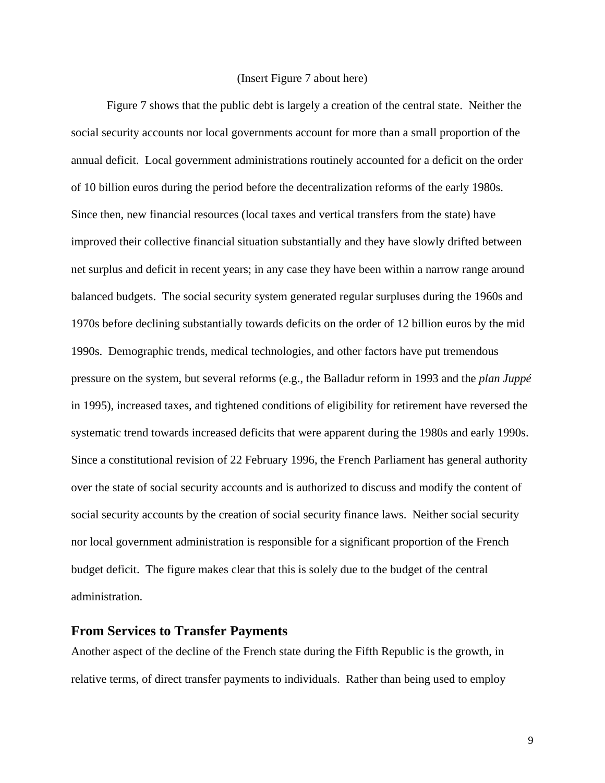#### (Insert Figure 7 about here)

Figure 7 shows that the public debt is largely a creation of the central state. Neither the social security accounts nor local governments account for more than a small proportion of the annual deficit. Local government administrations routinely accounted for a deficit on the order of 10 billion euros during the period before the decentralization reforms of the early 1980s. Since then, new financial resources (local taxes and vertical transfers from the state) have improved their collective financial situation substantially and they have slowly drifted between net surplus and deficit in recent years; in any case they have been within a narrow range around balanced budgets. The social security system generated regular surpluses during the 1960s and 1970s before declining substantially towards deficits on the order of 12 billion euros by the mid 1990s. Demographic trends, medical technologies, and other factors have put tremendous pressure on the system, but several reforms (e.g., the Balladur reform in 1993 and the *plan Juppé*  in 1995), increased taxes, and tightened conditions of eligibility for retirement have reversed the systematic trend towards increased deficits that were apparent during the 1980s and early 1990s. Since a constitutional revision of 22 February 1996, the French Parliament has general authority over the state of social security accounts and is authorized to discuss and modify the content of social security accounts by the creation of social security finance laws. Neither social security nor local government administration is responsible for a significant proportion of the French budget deficit. The figure makes clear that this is solely due to the budget of the central administration.

### **From Services to Transfer Payments**

Another aspect of the decline of the French state during the Fifth Republic is the growth, in relative terms, of direct transfer payments to individuals. Rather than being used to employ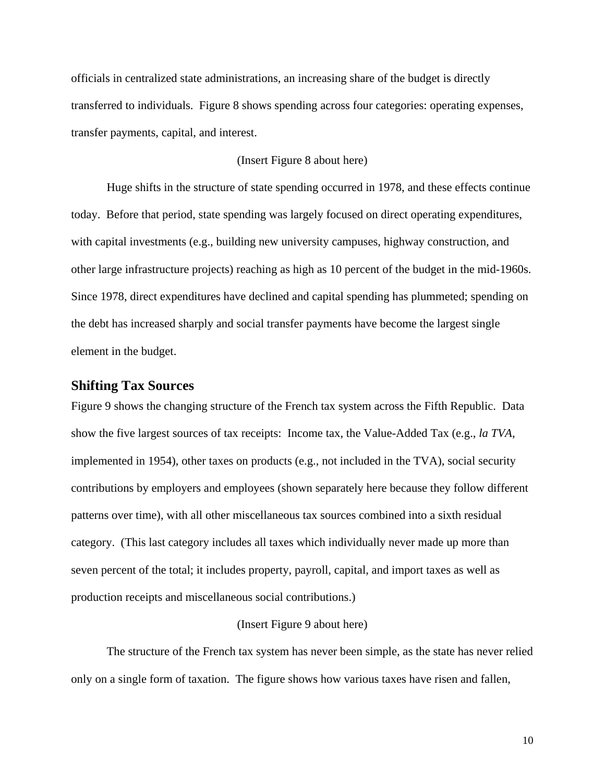officials in centralized state administrations, an increasing share of the budget is directly transferred to individuals. Figure 8 shows spending across four categories: operating expenses, transfer payments, capital, and interest.

#### (Insert Figure 8 about here)

Huge shifts in the structure of state spending occurred in 1978, and these effects continue today. Before that period, state spending was largely focused on direct operating expenditures, with capital investments (e.g., building new university campuses, highway construction, and other large infrastructure projects) reaching as high as 10 percent of the budget in the mid-1960s. Since 1978, direct expenditures have declined and capital spending has plummeted; spending on the debt has increased sharply and social transfer payments have become the largest single element in the budget.

#### **Shifting Tax Sources**

Figure 9 shows the changing structure of the French tax system across the Fifth Republic. Data show the five largest sources of tax receipts: Income tax, the Value-Added Tax (e.g., *la TVA*, implemented in 1954), other taxes on products (e.g., not included in the TVA), social security contributions by employers and employees (shown separately here because they follow different patterns over time), with all other miscellaneous tax sources combined into a sixth residual category. (This last category includes all taxes which individually never made up more than seven percent of the total; it includes property, payroll, capital, and import taxes as well as production receipts and miscellaneous social contributions.)

#### (Insert Figure 9 about here)

The structure of the French tax system has never been simple, as the state has never relied only on a single form of taxation. The figure shows how various taxes have risen and fallen,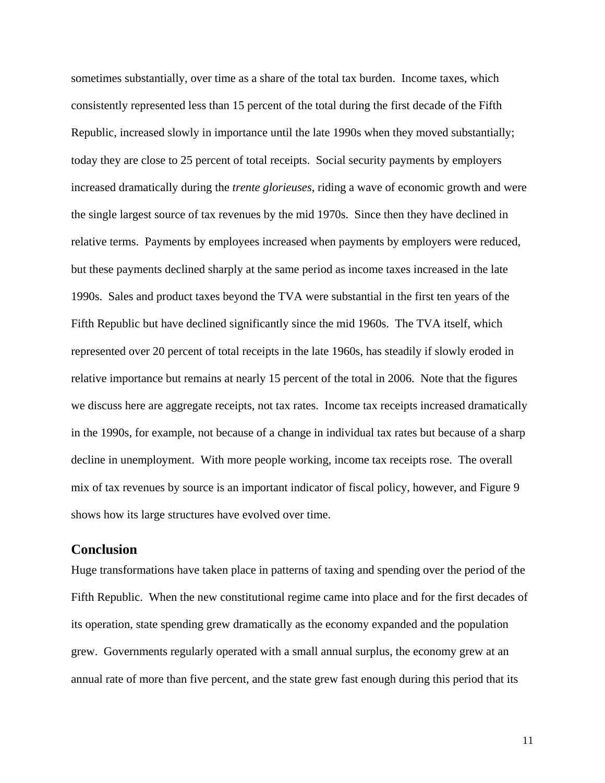sometimes substantially, over time as a share of the total tax burden. Income taxes, which consistently represented less than 15 percent of the total during the first decade of the Fifth Republic, increased slowly in importance until the late 1990s when they moved substantially; today they are close to 25 percent of total receipts. Social security payments by employers increased dramatically during the *trente glorieuses*, riding a wave of economic growth and were the single largest source of tax revenues by the mid 1970s. Since then they have declined in relative terms. Payments by employees increased when payments by employers were reduced, but these payments declined sharply at the same period as income taxes increased in the late 1990s. Sales and product taxes beyond the TVA were substantial in the first ten years of the Fifth Republic but have declined significantly since the mid 1960s. The TVA itself, which represented over 20 percent of total receipts in the late 1960s, has steadily if slowly eroded in relative importance but remains at nearly 15 percent of the total in 2006. Note that the figures we discuss here are aggregate receipts, not tax rates. Income tax receipts increased dramatically in the 1990s, for example, not because of a change in individual tax rates but because of a sharp decline in unemployment. With more people working, income tax receipts rose. The overall mix of tax revenues by source is an important indicator of fiscal policy, however, and Figure 9 shows how its large structures have evolved over time.

### **Conclusion**

Huge transformations have taken place in patterns of taxing and spending over the period of the Fifth Republic. When the new constitutional regime came into place and for the first decades of its operation, state spending grew dramatically as the economy expanded and the population grew. Governments regularly operated with a small annual surplus, the economy grew at an annual rate of more than five percent, and the state grew fast enough during this period that its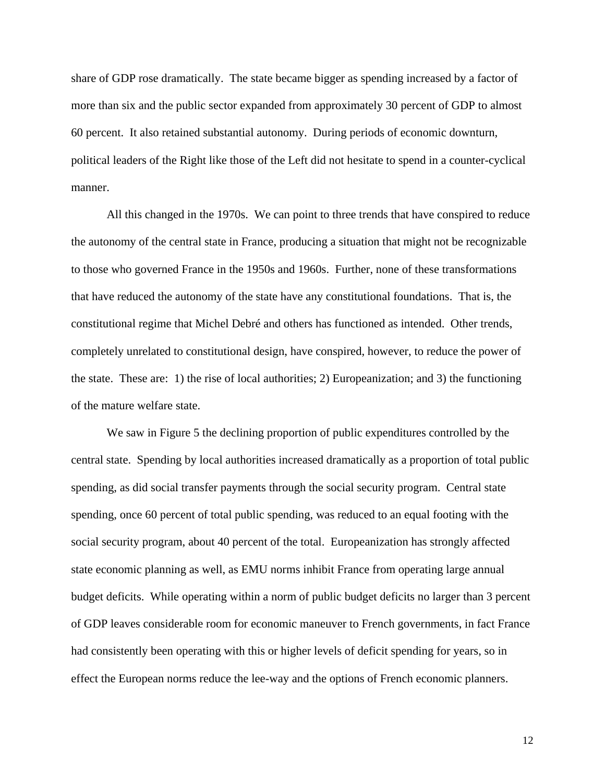share of GDP rose dramatically. The state became bigger as spending increased by a factor of more than six and the public sector expanded from approximately 30 percent of GDP to almost 60 percent. It also retained substantial autonomy. During periods of economic downturn, political leaders of the Right like those of the Left did not hesitate to spend in a counter-cyclical manner.

All this changed in the 1970s. We can point to three trends that have conspired to reduce the autonomy of the central state in France, producing a situation that might not be recognizable to those who governed France in the 1950s and 1960s. Further, none of these transformations that have reduced the autonomy of the state have any constitutional foundations. That is, the constitutional regime that Michel Debré and others has functioned as intended. Other trends, completely unrelated to constitutional design, have conspired, however, to reduce the power of the state. These are: 1) the rise of local authorities; 2) Europeanization; and 3) the functioning of the mature welfare state.

We saw in Figure 5 the declining proportion of public expenditures controlled by the central state. Spending by local authorities increased dramatically as a proportion of total public spending, as did social transfer payments through the social security program. Central state spending, once 60 percent of total public spending, was reduced to an equal footing with the social security program, about 40 percent of the total. Europeanization has strongly affected state economic planning as well, as EMU norms inhibit France from operating large annual budget deficits. While operating within a norm of public budget deficits no larger than 3 percent of GDP leaves considerable room for economic maneuver to French governments, in fact France had consistently been operating with this or higher levels of deficit spending for years, so in effect the European norms reduce the lee-way and the options of French economic planners.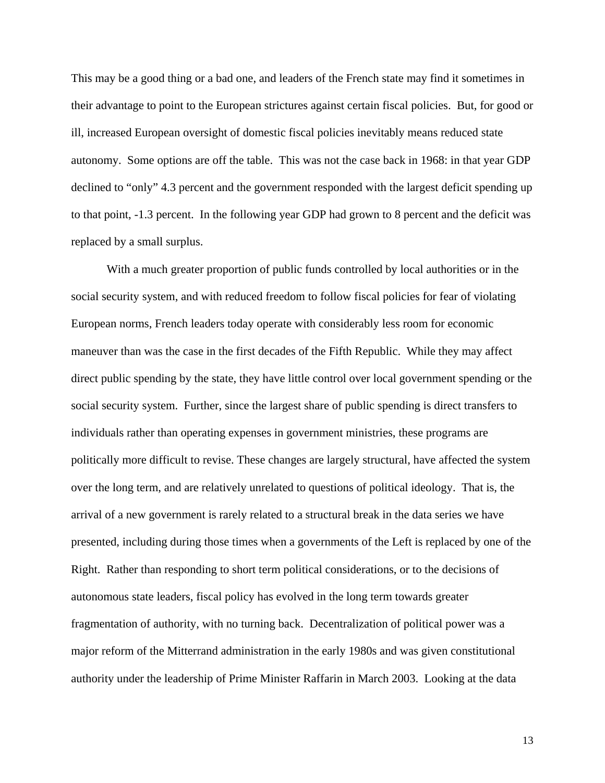This may be a good thing or a bad one, and leaders of the French state may find it sometimes in their advantage to point to the European strictures against certain fiscal policies. But, for good or ill, increased European oversight of domestic fiscal policies inevitably means reduced state autonomy. Some options are off the table. This was not the case back in 1968: in that year GDP declined to "only" 4.3 percent and the government responded with the largest deficit spending up to that point, -1.3 percent. In the following year GDP had grown to 8 percent and the deficit was replaced by a small surplus.

With a much greater proportion of public funds controlled by local authorities or in the social security system, and with reduced freedom to follow fiscal policies for fear of violating European norms, French leaders today operate with considerably less room for economic maneuver than was the case in the first decades of the Fifth Republic. While they may affect direct public spending by the state, they have little control over local government spending or the social security system. Further, since the largest share of public spending is direct transfers to individuals rather than operating expenses in government ministries, these programs are politically more difficult to revise. These changes are largely structural, have affected the system over the long term, and are relatively unrelated to questions of political ideology. That is, the arrival of a new government is rarely related to a structural break in the data series we have presented, including during those times when a governments of the Left is replaced by one of the Right. Rather than responding to short term political considerations, or to the decisions of autonomous state leaders, fiscal policy has evolved in the long term towards greater fragmentation of authority, with no turning back. Decentralization of political power was a major reform of the Mitterrand administration in the early 1980s and was given constitutional authority under the leadership of Prime Minister Raffarin in March 2003. Looking at the data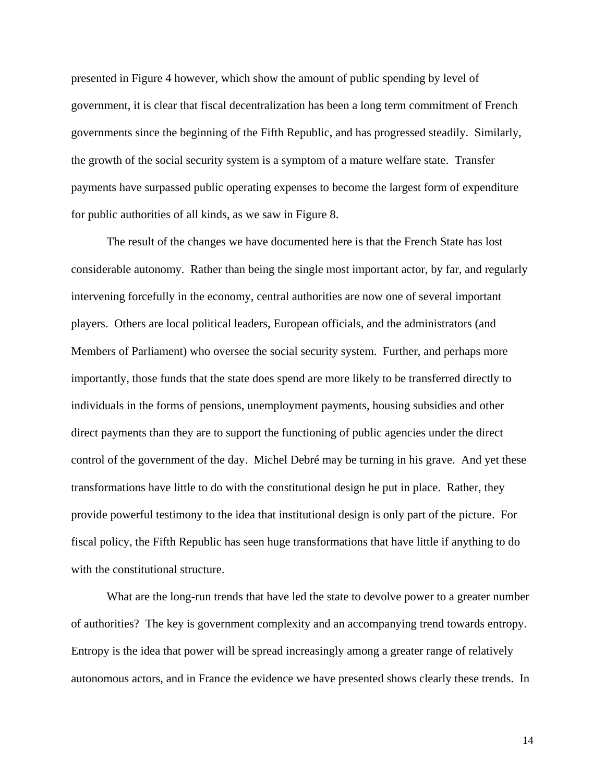presented in Figure 4 however, which show the amount of public spending by level of government, it is clear that fiscal decentralization has been a long term commitment of French governments since the beginning of the Fifth Republic, and has progressed steadily. Similarly, the growth of the social security system is a symptom of a mature welfare state. Transfer payments have surpassed public operating expenses to become the largest form of expenditure for public authorities of all kinds, as we saw in Figure 8.

The result of the changes we have documented here is that the French State has lost considerable autonomy. Rather than being the single most important actor, by far, and regularly intervening forcefully in the economy, central authorities are now one of several important players. Others are local political leaders, European officials, and the administrators (and Members of Parliament) who oversee the social security system. Further, and perhaps more importantly, those funds that the state does spend are more likely to be transferred directly to individuals in the forms of pensions, unemployment payments, housing subsidies and other direct payments than they are to support the functioning of public agencies under the direct control of the government of the day. Michel Debré may be turning in his grave. And yet these transformations have little to do with the constitutional design he put in place. Rather, they provide powerful testimony to the idea that institutional design is only part of the picture. For fiscal policy, the Fifth Republic has seen huge transformations that have little if anything to do with the constitutional structure.

What are the long-run trends that have led the state to devolve power to a greater number of authorities? The key is government complexity and an accompanying trend towards entropy. Entropy is the idea that power will be spread increasingly among a greater range of relatively autonomous actors, and in France the evidence we have presented shows clearly these trends. In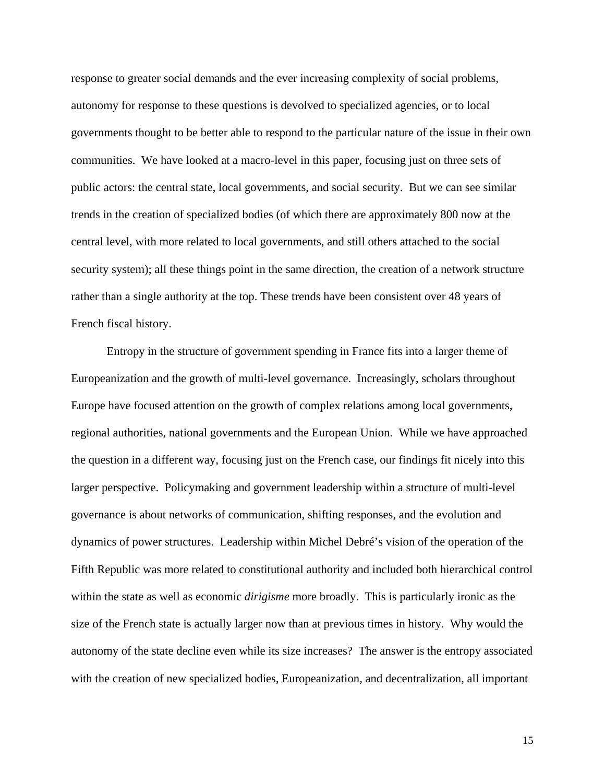response to greater social demands and the ever increasing complexity of social problems, autonomy for response to these questions is devolved to specialized agencies, or to local governments thought to be better able to respond to the particular nature of the issue in their own communities. We have looked at a macro-level in this paper, focusing just on three sets of public actors: the central state, local governments, and social security. But we can see similar trends in the creation of specialized bodies (of which there are approximately 800 now at the central level, with more related to local governments, and still others attached to the social security system); all these things point in the same direction, the creation of a network structure rather than a single authority at the top. These trends have been consistent over 48 years of French fiscal history.

Entropy in the structure of government spending in France fits into a larger theme of Europeanization and the growth of multi-level governance. Increasingly, scholars throughout Europe have focused attention on the growth of complex relations among local governments, regional authorities, national governments and the European Union. While we have approached the question in a different way, focusing just on the French case, our findings fit nicely into this larger perspective. Policymaking and government leadership within a structure of multi-level governance is about networks of communication, shifting responses, and the evolution and dynamics of power structures. Leadership within Michel Debré's vision of the operation of the Fifth Republic was more related to constitutional authority and included both hierarchical control within the state as well as economic *dirigisme* more broadly. This is particularly ironic as the size of the French state is actually larger now than at previous times in history. Why would the autonomy of the state decline even while its size increases? The answer is the entropy associated with the creation of new specialized bodies, Europeanization, and decentralization, all important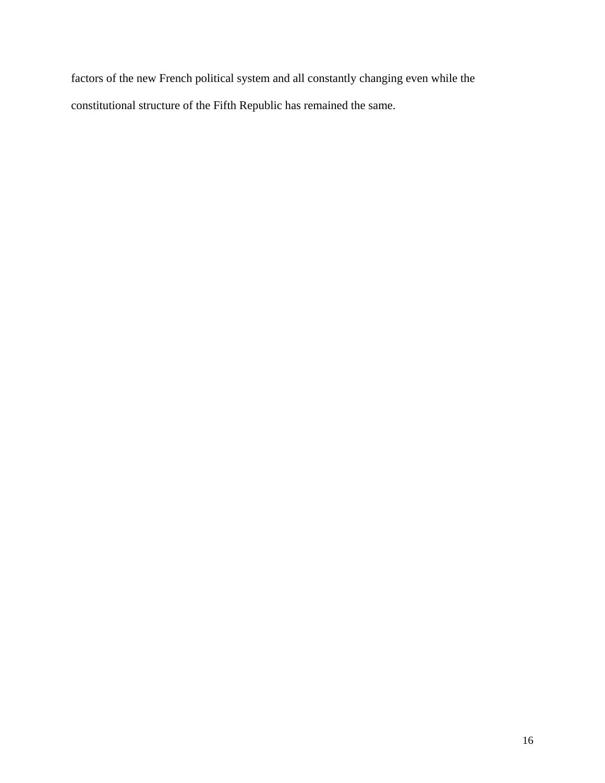factors of the new French political system and all constantly changing even while the constitutional structure of the Fifth Republic has remained the same.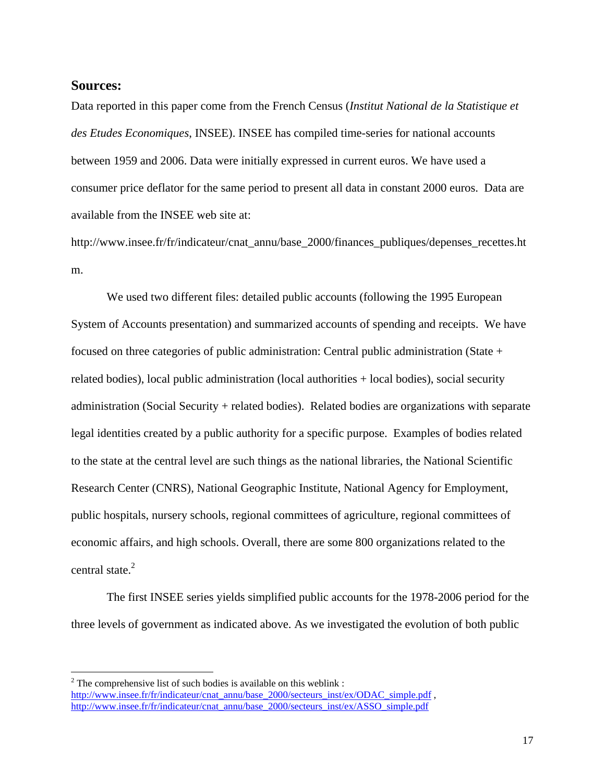#### **Sources:**

 $\overline{a}$ 

Data reported in this paper come from the French Census (*Institut National de la Statistique et des Etudes Economiques*, INSEE). INSEE has compiled time-series for national accounts between 1959 and 2006. Data were initially expressed in current euros. We have used a consumer price deflator for the same period to present all data in constant 2000 euros. Data are available from the INSEE web site at:

http://www.insee.fr/fr/indicateur/cnat\_annu/base\_2000/finances\_publiques/depenses\_recettes.ht m.

We used two different files: detailed public accounts (following the 1995 European System of Accounts presentation) and summarized accounts of spending and receipts. We have focused on three categories of public administration: Central public administration (State + related bodies), local public administration (local authorities + local bodies), social security administration (Social Security + related bodies). Related bodies are organizations with separate legal identities created by a public authority for a specific purpose. Examples of bodies related to the state at the central level are such things as the national libraries, the National Scientific Research Center (CNRS), National Geographic Institute, National Agency for Employment, public hospitals, nursery schools, regional committees of agriculture, regional committees of economic affairs, and high schools. Overall, there are some 800 organizations related to the central state.<sup>2</sup>

The first INSEE series yields simplified public accounts for the 1978-2006 period for the three levels of government as indicated above. As we investigated the evolution of both public

 $2^{2}$  The comprehensive list of such bodies is available on this weblink : http://www.insee.fr/fr/indicateur/cnat\_annu/base\_2000/secteurs\_inst/ex/ODAC\_simple.pdf, http://www.insee.fr/fr/indicateur/cnat\_annu/base\_2000/secteurs\_inst/ex/ASSO\_simple.pdf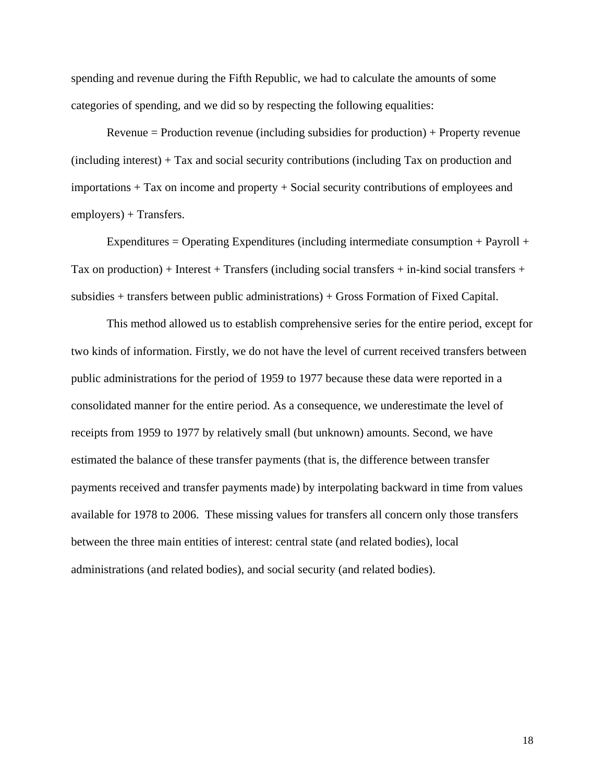spending and revenue during the Fifth Republic, we had to calculate the amounts of some categories of spending, and we did so by respecting the following equalities:

Revenue = Production revenue (including subsidies for production) + Property revenue (including interest) + Tax and social security contributions (including Tax on production and importations + Tax on income and property + Social security contributions of employees and employers) + Transfers.

Expenditures  $=$  Operating Expenditures (including intermediate consumption  $+$  Payroll  $+$ Tax on production) + Interest + Transfers (including social transfers + in-kind social transfers + subsidies + transfers between public administrations) + Gross Formation of Fixed Capital.

This method allowed us to establish comprehensive series for the entire period, except for two kinds of information. Firstly, we do not have the level of current received transfers between public administrations for the period of 1959 to 1977 because these data were reported in a consolidated manner for the entire period. As a consequence, we underestimate the level of receipts from 1959 to 1977 by relatively small (but unknown) amounts. Second, we have estimated the balance of these transfer payments (that is, the difference between transfer payments received and transfer payments made) by interpolating backward in time from values available for 1978 to 2006. These missing values for transfers all concern only those transfers between the three main entities of interest: central state (and related bodies), local administrations (and related bodies), and social security (and related bodies).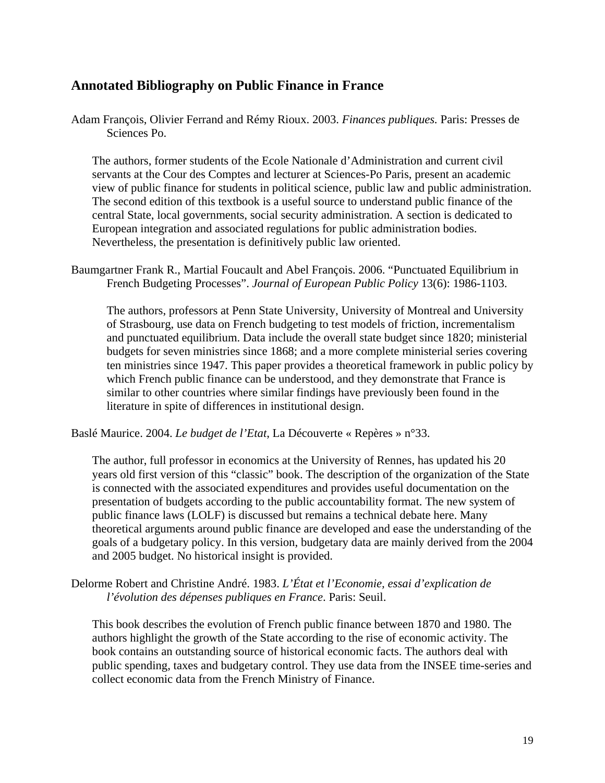# **Annotated Bibliography on Public Finance in France**

Adam François, Olivier Ferrand and Rémy Rioux. 2003. *Finances publiques.* Paris: Presses de Sciences Po.

The authors, former students of the Ecole Nationale d'Administration and current civil servants at the Cour des Comptes and lecturer at Sciences-Po Paris, present an academic view of public finance for students in political science, public law and public administration. The second edition of this textbook is a useful source to understand public finance of the central State, local governments, social security administration. A section is dedicated to European integration and associated regulations for public administration bodies. Nevertheless, the presentation is definitively public law oriented.

Baumgartner Frank R., Martial Foucault and Abel François. 2006. "Punctuated Equilibrium in French Budgeting Processes". *Journal of European Public Policy* 13(6): 1986-1103.

The authors, professors at Penn State University, University of Montreal and University of Strasbourg, use data on French budgeting to test models of friction, incrementalism and punctuated equilibrium. Data include the overall state budget since 1820; ministerial budgets for seven ministries since 1868; and a more complete ministerial series covering ten ministries since 1947. This paper provides a theoretical framework in public policy by which French public finance can be understood, and they demonstrate that France is similar to other countries where similar findings have previously been found in the literature in spite of differences in institutional design.

Baslé Maurice. 2004. *Le budget de l'Etat*, La Découverte « Repères » n°33.

The author, full professor in economics at the University of Rennes, has updated his 20 years old first version of this "classic" book. The description of the organization of the State is connected with the associated expenditures and provides useful documentation on the presentation of budgets according to the public accountability format. The new system of public finance laws (LOLF) is discussed but remains a technical debate here. Many theoretical arguments around public finance are developed and ease the understanding of the goals of a budgetary policy. In this version, budgetary data are mainly derived from the 2004 and 2005 budget. No historical insight is provided.

Delorme Robert and Christine André. 1983. *L'État et l'Economie, essai d'explication de l'évolution des dépenses publiques en France*. Paris: Seuil.

This book describes the evolution of French public finance between 1870 and 1980. The authors highlight the growth of the State according to the rise of economic activity. The book contains an outstanding source of historical economic facts. The authors deal with public spending, taxes and budgetary control. They use data from the INSEE time-series and collect economic data from the French Ministry of Finance.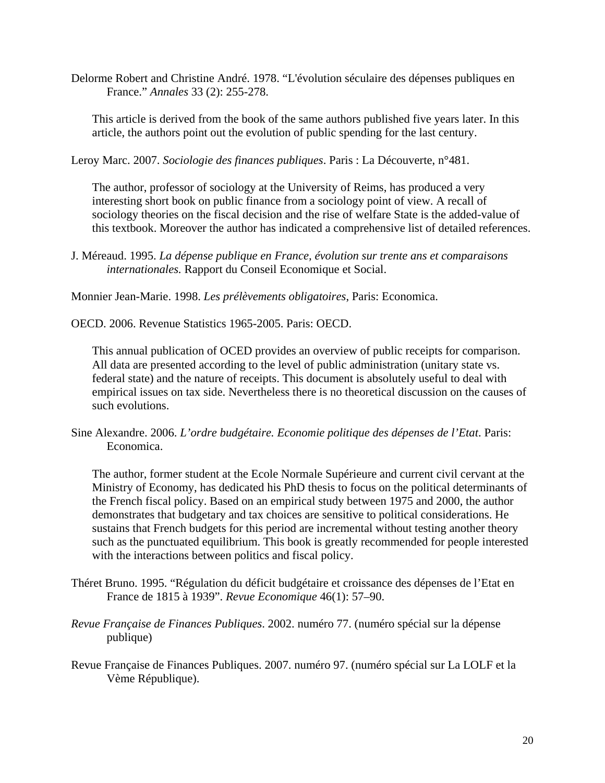Delorme Robert and Christine André. 1978. "L'évolution séculaire des dépenses publiques en France." *Annales* 33 (2): 255-278.

This article is derived from the book of the same authors published five years later. In this article, the authors point out the evolution of public spending for the last century.

Leroy Marc. 2007. *Sociologie des finances publiques*. Paris : La Découverte, n°481.

The author, professor of sociology at the University of Reims, has produced a very interesting short book on public finance from a sociology point of view. A recall of sociology theories on the fiscal decision and the rise of welfare State is the added-value of this textbook. Moreover the author has indicated a comprehensive list of detailed references.

J. Méreaud. 1995. *La dépense publique en France, évolution sur trente ans et comparaisons internationales.* Rapport du Conseil Economique et Social.

Monnier Jean-Marie. 1998. *Les prélèvements obligatoires*, Paris: Economica.

OECD. 2006. Revenue Statistics 1965-2005. Paris: OECD.

This annual publication of OCED provides an overview of public receipts for comparison. All data are presented according to the level of public administration (unitary state vs. federal state) and the nature of receipts. This document is absolutely useful to deal with empirical issues on tax side. Nevertheless there is no theoretical discussion on the causes of such evolutions.

Sine Alexandre. 2006. *L'ordre budgétaire. Economie politique des dépenses de l'Etat*. Paris: Economica.

The author, former student at the Ecole Normale Supérieure and current civil cervant at the Ministry of Economy, has dedicated his PhD thesis to focus on the political determinants of the French fiscal policy. Based on an empirical study between 1975 and 2000, the author demonstrates that budgetary and tax choices are sensitive to political considerations. He sustains that French budgets for this period are incremental without testing another theory such as the punctuated equilibrium. This book is greatly recommended for people interested with the interactions between politics and fiscal policy.

- Théret Bruno. 1995. "Régulation du déficit budgétaire et croissance des dépenses de l'Etat en France de 1815 à 1939". *Revue Economique* 46(1): 57–90.
- *Revue Française de Finances Publiques*. 2002. numéro 77. (numéro spécial sur la dépense publique)
- Revue Française de Finances Publiques. 2007. numéro 97. (numéro spécial sur La LOLF et la Vème République).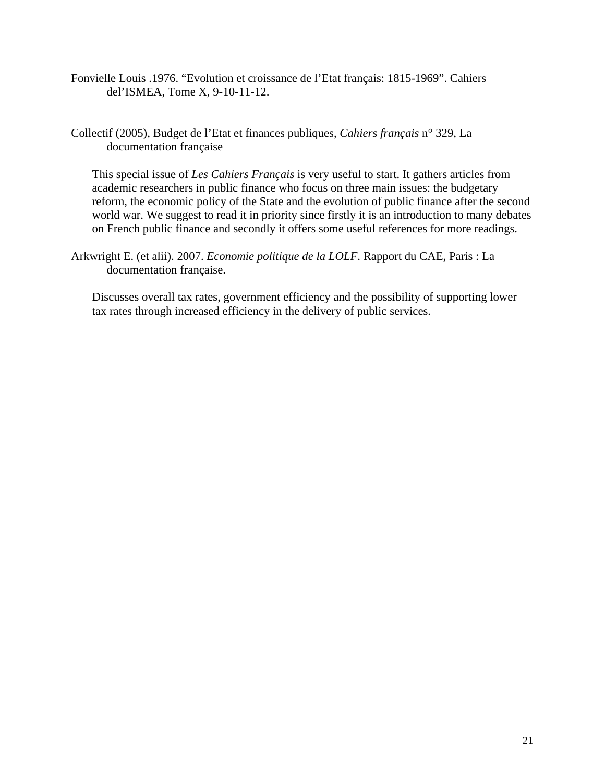- Fonvielle Louis .1976. "Evolution et croissance de l'Etat français: 1815-1969". Cahiers del'ISMEA, Tome X, 9-10-11-12.
- Collectif (2005), Budget de l'Etat et finances publiques, *Cahiers français* n° 329, La documentation française

This special issue of *Les Cahiers Français* is very useful to start. It gathers articles from academic researchers in public finance who focus on three main issues: the budgetary reform, the economic policy of the State and the evolution of public finance after the second world war. We suggest to read it in priority since firstly it is an introduction to many debates on French public finance and secondly it offers some useful references for more readings.

Arkwright E. (et alii). 2007. *Economie politique de la LOLF*. Rapport du CAE, Paris : La documentation française.

Discusses overall tax rates, government efficiency and the possibility of supporting lower tax rates through increased efficiency in the delivery of public services.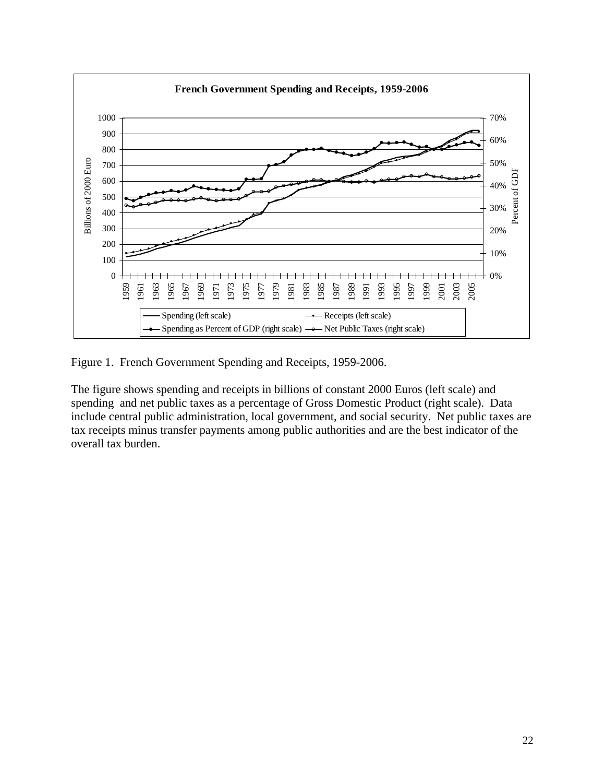

Figure 1. French Government Spending and Receipts, 1959-2006.

The figure shows spending and receipts in billions of constant 2000 Euros (left scale) and spending and net public taxes as a percentage of Gross Domestic Product (right scale). Data include central public administration, local government, and social security. Net public taxes are tax receipts minus transfer payments among public authorities and are the best indicator of the overall tax burden.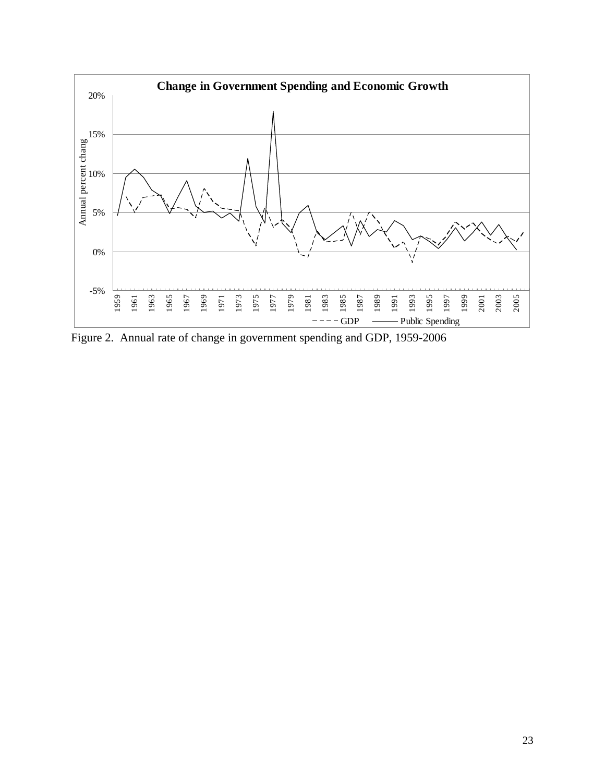

Figure 2. Annual rate of change in government spending and GDP, 1959-2006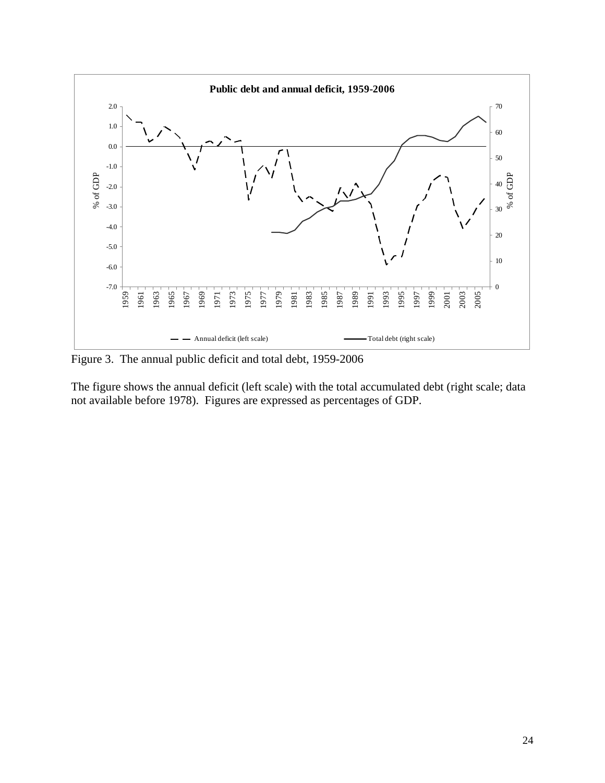

Figure 3. The annual public deficit and total debt, 1959-2006

The figure shows the annual deficit (left scale) with the total accumulated debt (right scale; data not available before 1978). Figures are expressed as percentages of GDP.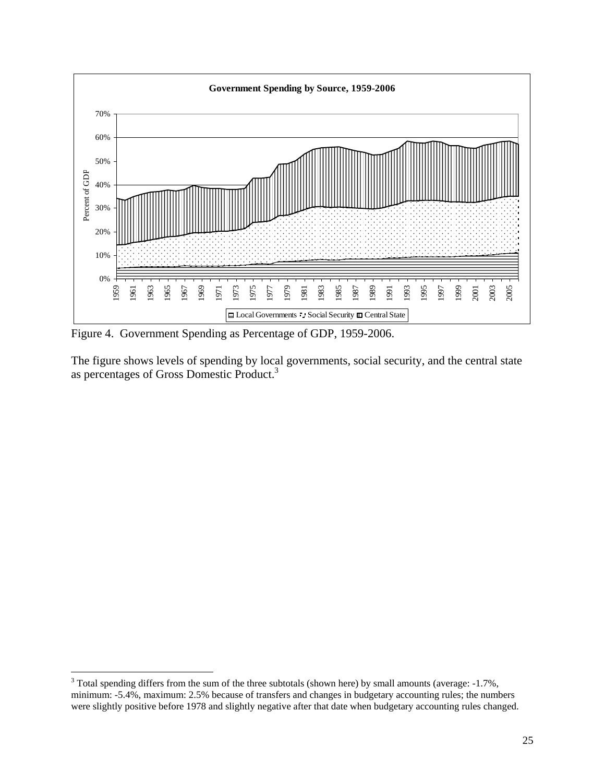

Figure 4. Government Spending as Percentage of GDP, 1959-2006.

The figure shows levels of spending by local governments, social security, and the central state as percentages of Gross Domestic Product.3

 $\overline{a}$ 

 Total spending differs from the sum of the three subtotals (shown here) by small amounts (average:  $-1.7\%$ , minimum: -5.4%, maximum: 2.5% because of transfers and changes in budgetary accounting rules; the numbers were slightly positive before 1978 and slightly negative after that date when budgetary accounting rules changed.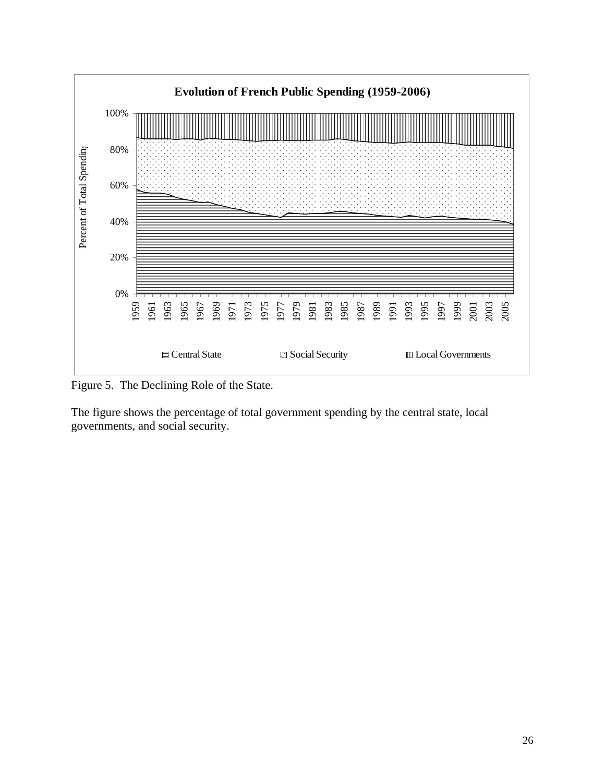

Figure 5. The Declining Role of the State.

The figure shows the percentage of total government spending by the central state, local governments, and social security.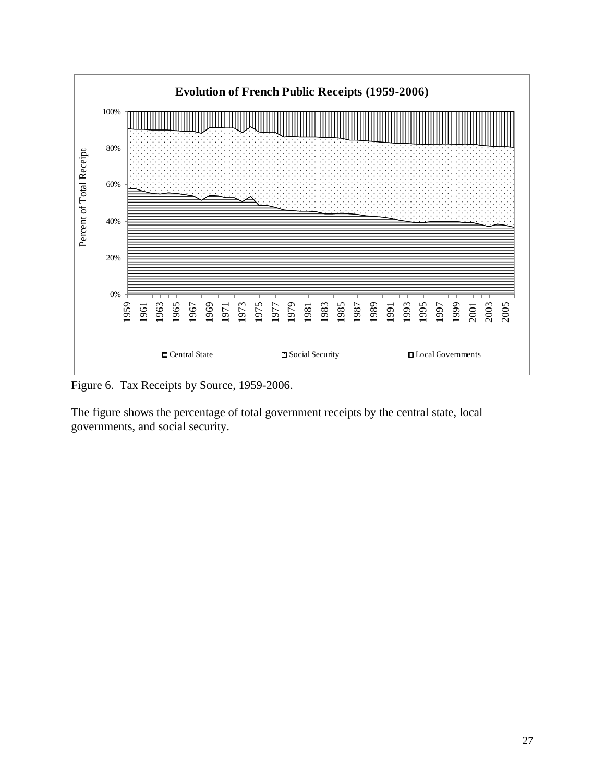

Figure 6. Tax Receipts by Source, 1959-2006.

The figure shows the percentage of total government receipts by the central state, local governments, and social security.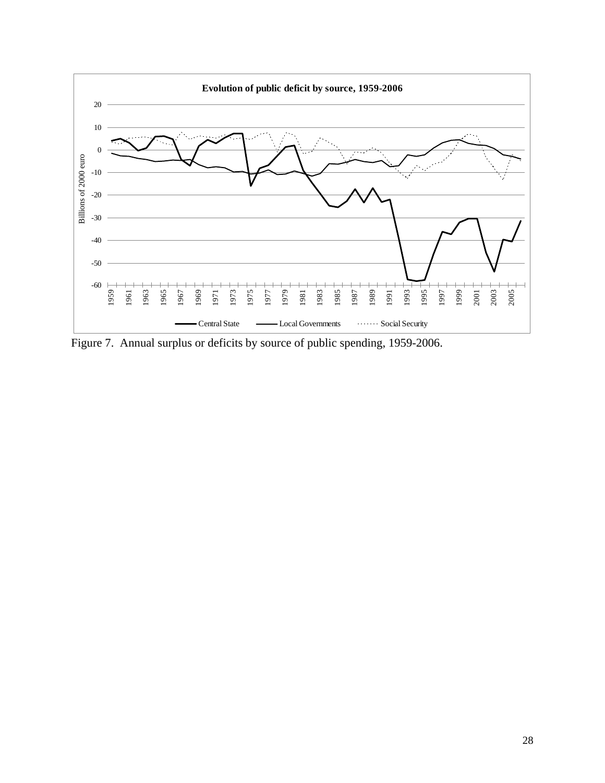

Figure 7. Annual surplus or deficits by source of public spending, 1959-2006.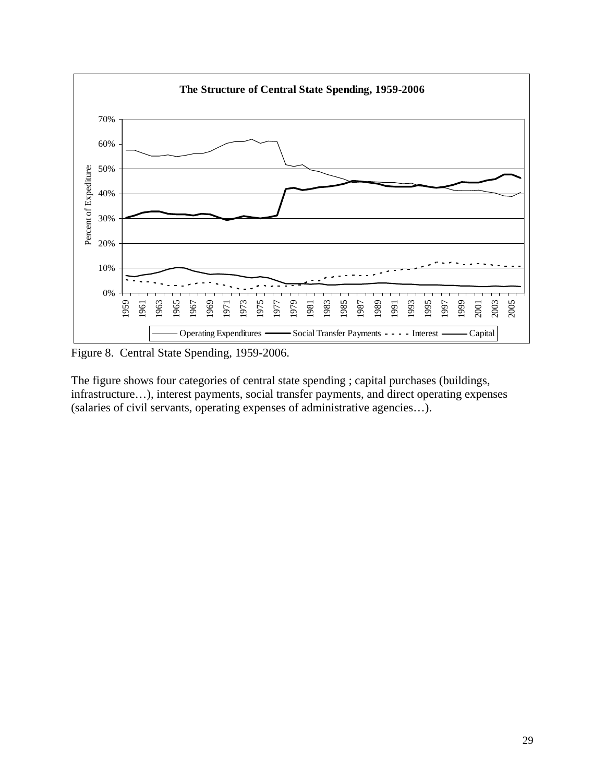

Figure 8. Central State Spending, 1959-2006.

The figure shows four categories of central state spending ; capital purchases (buildings, infrastructure…), interest payments, social transfer payments, and direct operating expenses (salaries of civil servants, operating expenses of administrative agencies…).